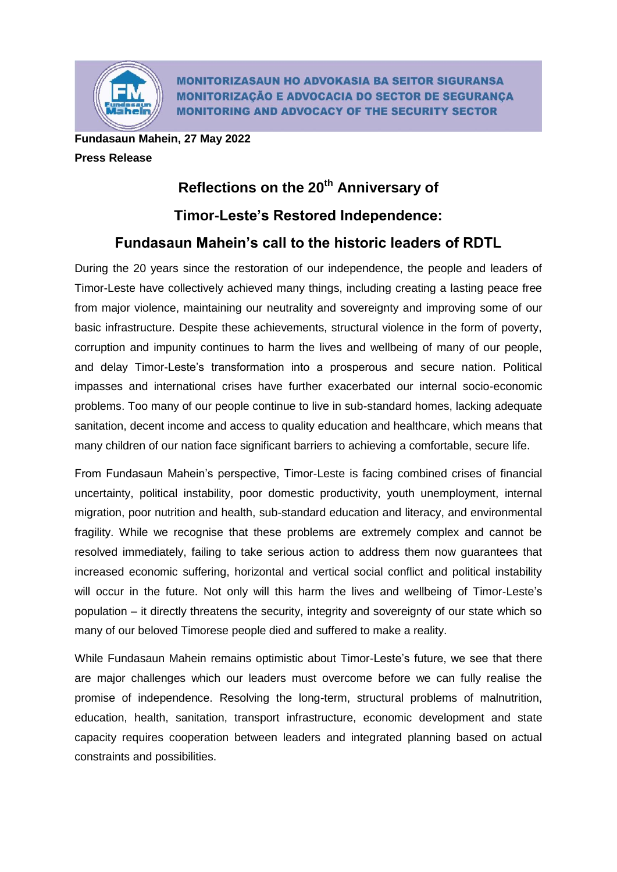

**MONITORIZASAUN HO ADVOKASIA BA SEITOR SIGURANSA MONITORIZAÇÃO E ADVOCACIA DO SECTOR DE SEGURANÇA MONITORING AND ADVOCACY OF THE SECURITY SECTOR** 

**Fundasaun Mahein, 27 May 2022 Press Release**

## **Reflections on the 20th Anniversary of**

## **Timor-Leste's Restored Independence:**

## **Fundasaun Mahein's call to the historic leaders of RDTL**

During the 20 years since the restoration of our independence, the people and leaders of Timor-Leste have collectively achieved many things, including creating a lasting peace free from major violence, maintaining our neutrality and sovereignty and improving some of our basic infrastructure. Despite these achievements, structural violence in the form of poverty, corruption and impunity continues to harm the lives and wellbeing of many of our people, and delay Timor-Leste's transformation into a prosperous and secure nation. Political impasses and international crises have further exacerbated our internal socio-economic problems. Too many of our people continue to live in sub-standard homes, lacking adequate sanitation, decent income and access to quality education and healthcare, which means that many children of our nation face significant barriers to achieving a comfortable, secure life.

From Fundasaun Mahein's perspective, Timor-Leste is facing combined crises of financial uncertainty, political instability, poor domestic productivity, youth unemployment, internal migration, poor nutrition and health, sub-standard education and literacy, and environmental fragility. While we recognise that these problems are extremely complex and cannot be resolved immediately, failing to take serious action to address them now guarantees that increased economic suffering, horizontal and vertical social conflict and political instability will occur in the future. Not only will this harm the lives and wellbeing of Timor-Leste's population – it directly threatens the security, integrity and sovereignty of our state which so many of our beloved Timorese people died and suffered to make a reality.

While Fundasaun Mahein remains optimistic about Timor-Leste's future, we see that there are major challenges which our leaders must overcome before we can fully realise the promise of independence. Resolving the long-term, structural problems of malnutrition, education, health, sanitation, transport infrastructure, economic development and state capacity requires cooperation between leaders and integrated planning based on actual constraints and possibilities.